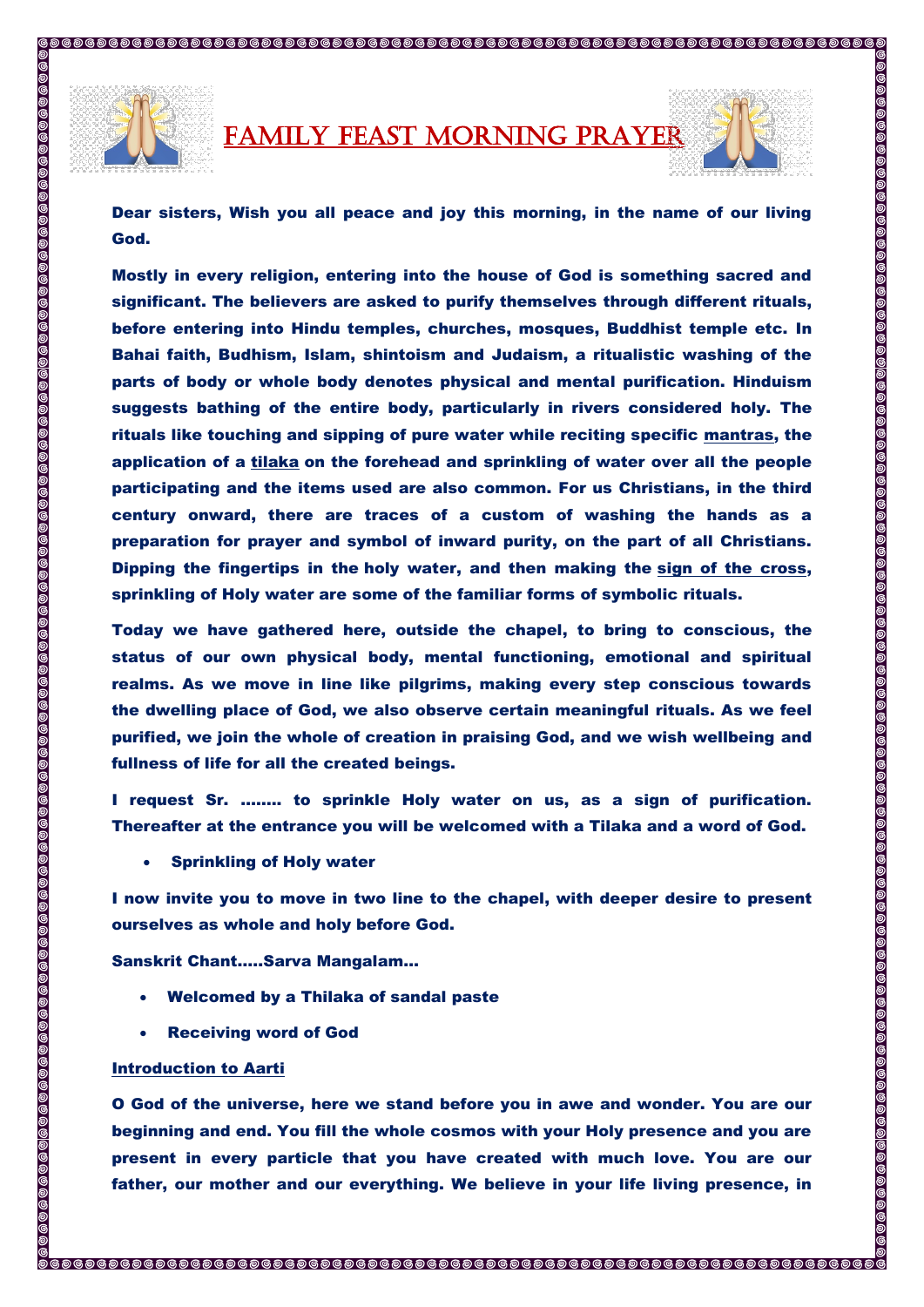

FAMILY FEAST MORNING PRAYER



Dear sisters, Wish you all peace and joy this morning, in the name of our living God.

Mostly in every religion, entering into the house of God is something sacred and significant. The believers are asked to purify themselves through different rituals, before entering into Hindu temples, churches, mosques, Buddhist temple etc. In Bahai faith, Budhism, Islam, shintoism and Judaism, a ritualistic washing of the parts of body or whole body denotes physical and mental purification. Hinduism suggests bathing of the entire body, particularly in rivers considered holy. The rituals like touching and sipping of pure water while reciting specific [mantras,](https://en.wikipedia.org/wiki/Mantra) the application of a [tilaka](https://en.wikipedia.org/wiki/Tilaka) on the forehead and sprinkling of water over all the people participating and the items used are also common. For us Christians, in the third century onward, there are traces of a custom of washing the hands as a preparation for prayer and symbol of inward purity, on the part of all Christians. Dipping the fingertips in the [holy water,](https://en.wikipedia.org/wiki/Holy_water) and then making the [sign of the cross,](https://en.wikipedia.org/wiki/Sign_of_the_cross) sprinkling of Holy water are some of the familiar forms of symbolic rituals.

Today we have gathered here, outside the chapel, to bring to conscious, the status of our own physical body, mental functioning, emotional and spiritual realms. As we move in line like pilgrims, making every step conscious towards the dwelling place of God, we also observe certain meaningful rituals. As we feel purified, we join the whole of creation in praising God, and we wish wellbeing and fullness of life for all the created beings.

I request Sr. …….. to sprinkle Holy water on us, as a sign of purification. Thereafter at the entrance you will be welcomed with a Tilaka and a word of God.

Sprinkling of Holy water

I now invite you to move in two line to the chapel, with deeper desire to present ourselves as whole and holy before God.

Sanskrit Chant…..Sarva Mangalam…

- Welcomed by a Thilaka of sandal paste
- Receiving word of God

## Introduction to Aarti

O God of the universe, here we stand before you in awe and wonder. You are our beginning and end. You fill the whole cosmos with your Holy presence and you are present in every particle that you have created with much love. You are our father, our mother and our everything. We believe in your life living presence, in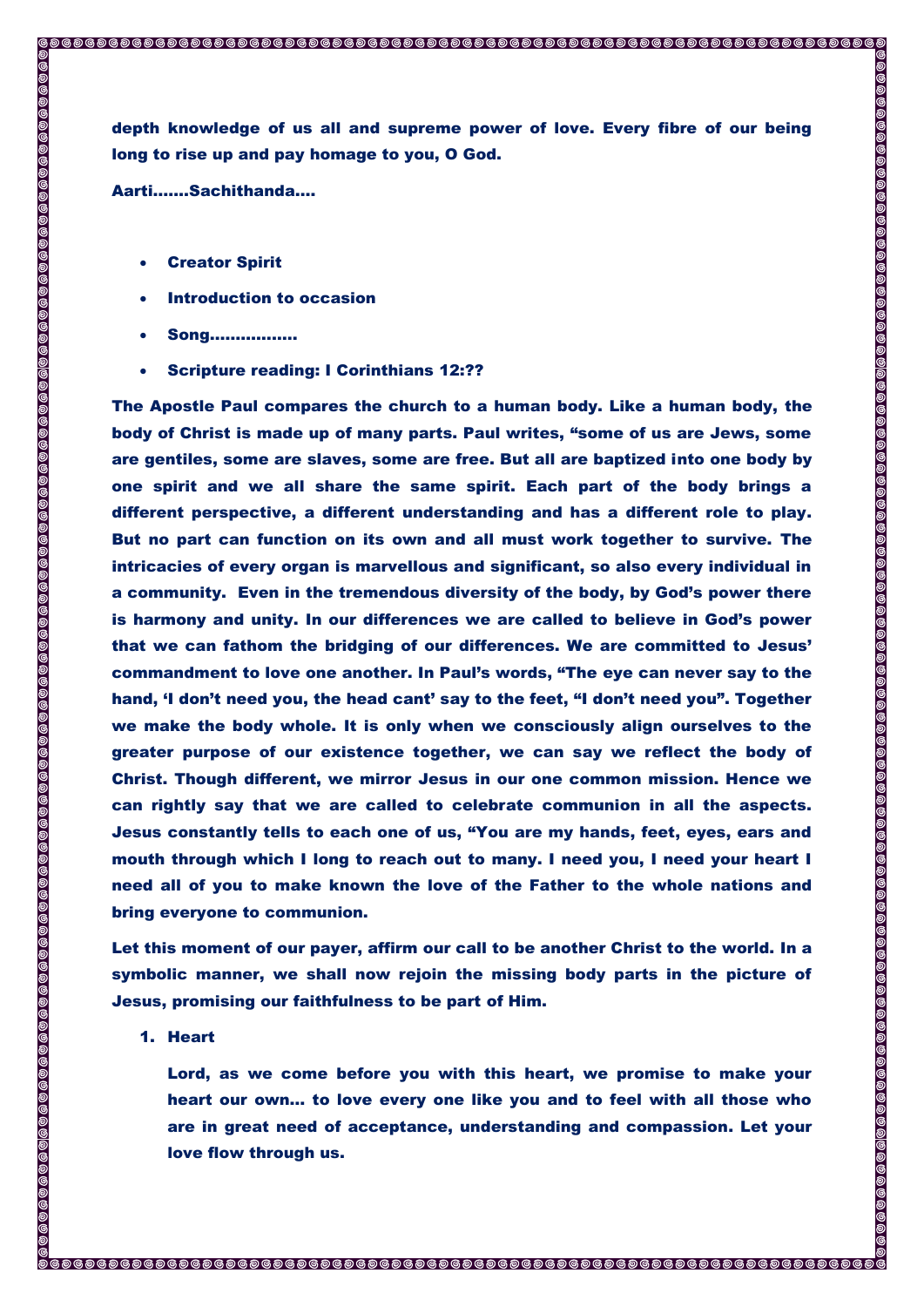depth knowledge of us all and supreme power of love. Every fibre of our being long to rise up and pay homage to you, O God.

Aarti…….Sachithanda….

 $\circledcirc$ 

00000000

- Creator Spirit
- Introduction to occasion
- Song……………..
- Scripture reading: I Corinthians 12:??

The Apostle Paul compares the church to a human body. Like a human body, the body of Christ is made up of many parts. Paul writes, "some of us are Jews, some are gentiles, some are slaves, some are free. But all are baptized into one body by one spirit and we all share the same spirit. Each part of the body brings a different perspective, a different understanding and has a different role to play. But no part can function on its own and all must work together to survive. The intricacies of every organ is marvellous and significant, so also every individual in a community. Even in the tremendous diversity of the body, by God's power there is harmony and unity. In our differences we are called to believe in God's power that we can fathom the bridging of our differences. We are committed to Jesus' commandment to love one another. In Paul's words, "The eye can never say to the hand, 'I don't need you, the head cant' say to the feet, "I don't need you". Together we make the body whole. It is only when we consciously align ourselves to the greater purpose of our existence together, we can say we reflect the body of Christ. Though different, we mirror Jesus in our one common mission. Hence we can rightly say that we are called to celebrate communion in all the aspects. Jesus constantly tells to each one of us, "You are my hands, feet, eyes, ears and mouth through which I long to reach out to many. I need you, I need your heart I need all of you to make known the love of the Father to the whole nations and bring everyone to communion.

Let this moment of our payer, affirm our call to be another Christ to the world. In a symbolic manner, we shall now rejoin the missing body parts in the picture of Jesus, promising our faithfulness to be part of Him.

1. Heart

Lord, as we come before you with this heart, we promise to make your heart our own… to love every one like you and to feel with all those who are in great need of acceptance, understanding and compassion. Let your love flow through us.